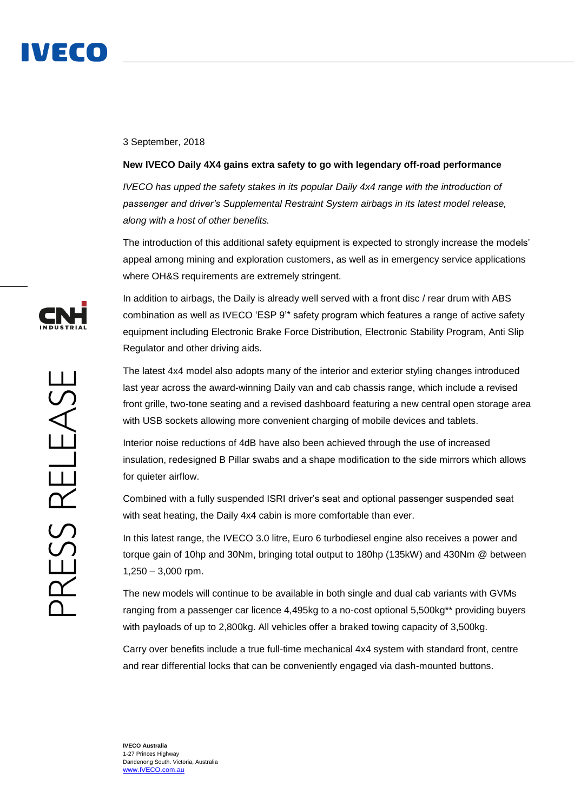

## 3 September, 2018

## **New IVECO Daily 4X4 gains extra safety to go with legendary off-road performance**

*IVECO has upped the safety stakes in its popular Daily 4x4 range with the introduction of passenger and driver's Supplemental Restraint System airbags in its latest model release, along with a host of other benefits.*

The introduction of this additional safety equipment is expected to strongly increase the models' appeal among mining and exploration customers, as well as in emergency service applications where OH&S requirements are extremely stringent.

In addition to airbags, the Daily is already well served with a front disc / rear drum with ABS combination as well as IVECO 'ESP 9'\* safety program which features a range of active safety equipment including Electronic Brake Force Distribution, Electronic Stability Program, Anti Slip Regulator and other driving aids.

The latest 4x4 model also adopts many of the interior and exterior styling changes introduced last year across the award-winning Daily van and cab chassis range, which include a revised front grille, two-tone seating and a revised dashboard featuring a new central open storage area with USB sockets allowing more convenient charging of mobile devices and tablets.

Interior noise reductions of 4dB have also been achieved through the use of increased insulation, redesigned B Pillar swabs and a shape modification to the side mirrors which allows for quieter airflow.

Combined with a fully suspended ISRI driver's seat and optional passenger suspended seat with seat heating, the Daily 4x4 cabin is more comfortable than ever.

In this latest range, the IVECO 3.0 litre, Euro 6 turbodiesel engine also receives a power and torque gain of 10hp and 30Nm, bringing total output to 180hp (135kW) and 430Nm @ between 1,250 – 3,000 rpm.

The new models will continue to be available in both single and dual cab variants with GVMs ranging from a passenger car licence 4,495kg to a no-cost optional 5,500kg\*\* providing buyers with payloads of up to 2,800kg. All vehicles offer a braked towing capacity of 3,500kg.

Carry over benefits include a true full-time mechanical 4x4 system with standard front, centre and rear differential locks that can be conveniently engaged via dash-mounted buttons.

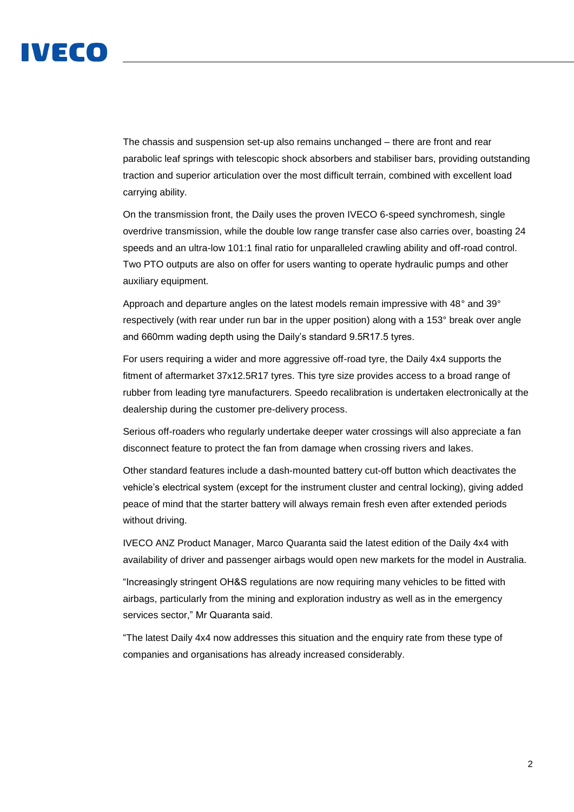

The chassis and suspension set-up also remains unchanged – there are front and rear parabolic leaf springs with telescopic shock absorbers and stabiliser bars, providing outstanding traction and superior articulation over the most difficult terrain, combined with excellent load carrying ability.

On the transmission front, the Daily uses the proven IVECO 6-speed synchromesh, single overdrive transmission, while the double low range transfer case also carries over, boasting 24 speeds and an ultra-low 101:1 final ratio for unparalleled crawling ability and off-road control. Two PTO outputs are also on offer for users wanting to operate hydraulic pumps and other auxiliary equipment.

Approach and departure angles on the latest models remain impressive with 48° and 39° respectively (with rear under run bar in the upper position) along with a 153° break over angle and 660mm wading depth using the Daily's standard 9.5R17.5 tyres.

For users requiring a wider and more aggressive off-road tyre, the Daily 4x4 supports the fitment of aftermarket 37x12.5R17 tyres. This tyre size provides access to a broad range of rubber from leading tyre manufacturers. Speedo recalibration is undertaken electronically at the dealership during the customer pre-delivery process.

Serious off-roaders who regularly undertake deeper water crossings will also appreciate a fan disconnect feature to protect the fan from damage when crossing rivers and lakes.

Other standard features include a dash-mounted battery cut-off button which deactivates the vehicle's electrical system (except for the instrument cluster and central locking), giving added peace of mind that the starter battery will always remain fresh even after extended periods without driving.

IVECO ANZ Product Manager, Marco Quaranta said the latest edition of the Daily 4x4 with availability of driver and passenger airbags would open new markets for the model in Australia.

"Increasingly stringent OH&S regulations are now requiring many vehicles to be fitted with airbags, particularly from the mining and exploration industry as well as in the emergency services sector," Mr Quaranta said.

"The latest Daily 4x4 now addresses this situation and the enquiry rate from these type of companies and organisations has already increased considerably.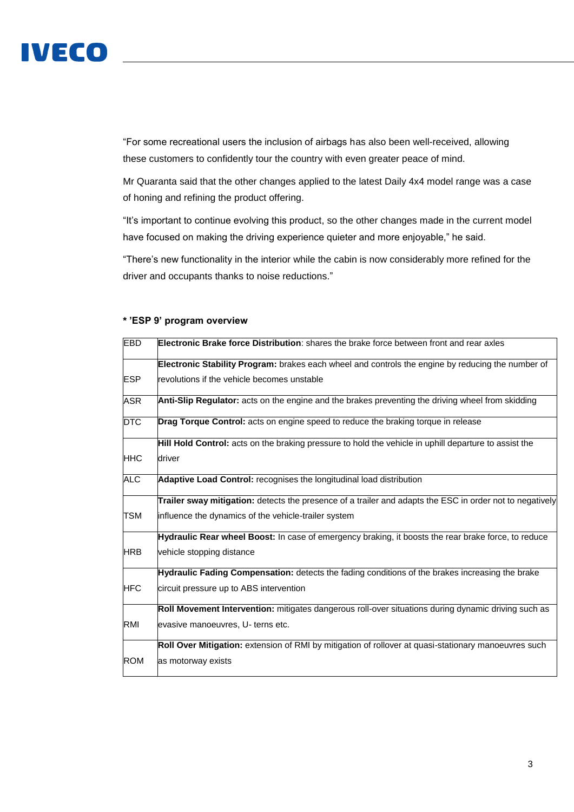

"For some recreational users the inclusion of airbags has also been well-received, allowing these customers to confidently tour the country with even greater peace of mind.

Mr Quaranta said that the other changes applied to the latest Daily 4x4 model range was a case of honing and refining the product offering.

"It's important to continue evolving this product, so the other changes made in the current model have focused on making the driving experience quieter and more enjoyable," he said.

"There's new functionality in the interior while the cabin is now considerably more refined for the driver and occupants thanks to noise reductions."

| <b>EBD</b> | <b>Electronic Brake force Distribution:</b> shares the brake force between front and rear axles          |
|------------|----------------------------------------------------------------------------------------------------------|
|            | Electronic Stability Program: brakes each wheel and controls the engine by reducing the number of        |
| <b>ESP</b> | revolutions if the vehicle becomes unstable                                                              |
| <b>ASR</b> | Anti-Slip Regulator: acts on the engine and the brakes preventing the driving wheel from skidding        |
| <b>DTC</b> | <b>Drag Torque Control:</b> acts on engine speed to reduce the braking torque in release                 |
|            | Hill Hold Control: acts on the braking pressure to hold the vehicle in uphill departure to assist the    |
| HHC        | driver                                                                                                   |
| <b>ALC</b> | Adaptive Load Control: recognises the longitudinal load distribution                                     |
|            | Trailer sway mitigation: detects the presence of a trailer and adapts the ESC in order not to negatively |
| <b>TSM</b> | influence the dynamics of the vehicle-trailer system                                                     |
|            | Hydraulic Rear wheel Boost: In case of emergency braking, it boosts the rear brake force, to reduce      |
| <b>HRB</b> | vehicle stopping distance                                                                                |
|            | Hydraulic Fading Compensation: detects the fading conditions of the brakes increasing the brake          |
| <b>HFC</b> | circuit pressure up to ABS intervention                                                                  |
|            | Roll Movement Intervention: mitigates dangerous roll-over situations during dynamic driving such as      |
| RMI        | evasive manoeuvres, U- terns etc.                                                                        |
|            | Roll Over Mitigation: extension of RMI by mitigation of rollover at quasi-stationary manoeuvres such     |
| <b>ROM</b> | as motorway exists                                                                                       |

# **\* 'ESP 9' program overview**